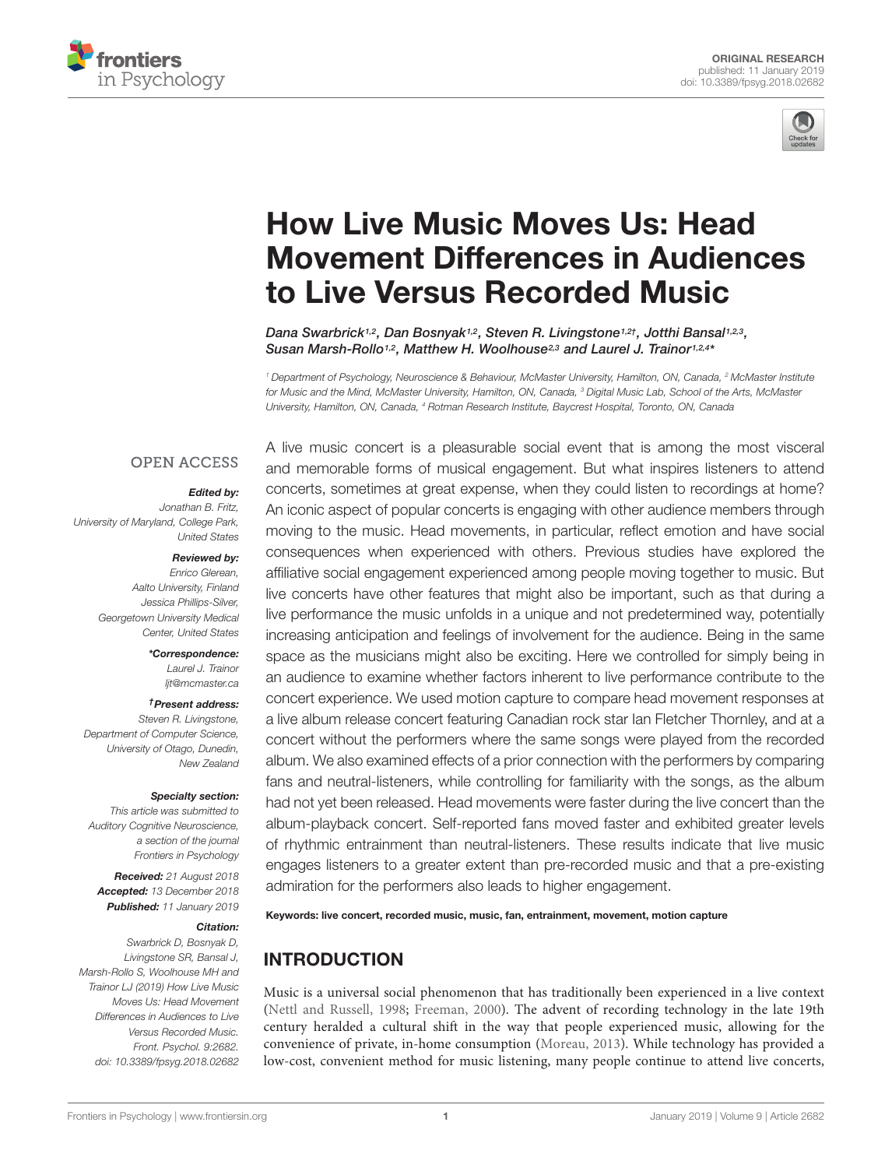



# How Live Music Moves Us: Head [Movement Differences in Audiences](https://www.frontiersin.org/articles/10.3389/fpsyg.2018.02682/full) to Live Versus Recorded Music

[Dana Swarbrick](http://loop.frontiersin.org/people/603918/overview)1,2, [Dan Bosnyak](http://loop.frontiersin.org/people/50293/overview)1,2, [Steven R. Livingstone](http://loop.frontiersin.org/people/91364/overview)1,2†, [Jotthi Bansal](http://loop.frontiersin.org/people/429669/overview)1,2,3, [Susan Marsh-Rollo](http://loop.frontiersin.org/people/603559/overview)<sup>1,2</sup>, [Matthew H. Woolhouse](http://loop.frontiersin.org/people/130453/overview)<sup>2,3</sup> and [Laurel J. Trainor](http://loop.frontiersin.org/people/3358/overview)<sup>1,2,4</sup>\*

<sup>1</sup> Department of Psychology, Neuroscience & Behaviour, McMaster University, Hamilton, ON, Canada, <sup>2</sup> McMaster Institute for Music and the Mind, McMaster University, Hamilton, ON, Canada, <sup>3</sup> Digital Music Lab, School of the Arts, McMaster University, Hamilton, ON, Canada, <sup>4</sup> Rotman Research Institute, Baycrest Hospital, Toronto, ON, Canada

### **OPEN ACCESS**

#### Edited by:

Jonathan B. Fritz, University of Maryland, College Park, United States

#### Reviewed by:

Enrico Glerean, Aalto University, Finland Jessica Phillips-Silver, Georgetown University Medical Center, United States

> \*Correspondence: Laurel J. Trainor lit@mcmaster.ca

†Present address: Steven R. Livingstone, Department of Computer Science, University of Otago, Dunedin, New Zealand

#### Specialty section:

This article was submitted to Auditory Cognitive Neuroscience, a section of the journal Frontiers in Psychology

Received: 21 August 2018 Accepted: 13 December 2018 Published: 11 January 2019

#### Citation:

Swarbrick D, Bosnyak D, Livingstone SR, Bansal J, Marsh-Rollo S, Woolhouse MH and Trainor LJ (2019) How Live Music Moves Us: Head Movement Differences in Audiences to Live Versus Recorded Music. Front. Psychol. 9:2682. doi: [10.3389/fpsyg.2018.02682](https://doi.org/10.3389/fpsyg.2018.02682)

A live music concert is a pleasurable social event that is among the most visceral and memorable forms of musical engagement. But what inspires listeners to attend concerts, sometimes at great expense, when they could listen to recordings at home? An iconic aspect of popular concerts is engaging with other audience members through moving to the music. Head movements, in particular, reflect emotion and have social consequences when experienced with others. Previous studies have explored the affiliative social engagement experienced among people moving together to music. But live concerts have other features that might also be important, such as that during a live performance the music unfolds in a unique and not predetermined way, potentially increasing anticipation and feelings of involvement for the audience. Being in the same space as the musicians might also be exciting. Here we controlled for simply being in an audience to examine whether factors inherent to live performance contribute to the concert experience. We used motion capture to compare head movement responses at a live album release concert featuring Canadian rock star Ian Fletcher Thornley, and at a concert without the performers where the same songs were played from the recorded album. We also examined effects of a prior connection with the performers by comparing fans and neutral-listeners, while controlling for familiarity with the songs, as the album had not yet been released. Head movements were faster during the live concert than the album-playback concert. Self-reported fans moved faster and exhibited greater levels of rhythmic entrainment than neutral-listeners. These results indicate that live music engages listeners to a greater extent than pre-recorded music and that a pre-existing admiration for the performers also leads to higher engagement.

Keywords: live concert, recorded music, music, fan, entrainment, movement, motion capture

# INTRODUCTION

Music is a universal social phenomenon that has traditionally been experienced in a live context [\(Nettl and Russell,](#page-9-0) [1998;](#page-9-0) [Freeman,](#page-9-1) [2000\)](#page-9-1). The advent of recording technology in the late 19th century heralded a cultural shift in the way that people experienced music, allowing for the convenience of private, in-home consumption [\(Moreau,](#page-9-2) [2013\)](#page-9-2). While technology has provided a low-cost, convenient method for music listening, many people continue to attend live concerts,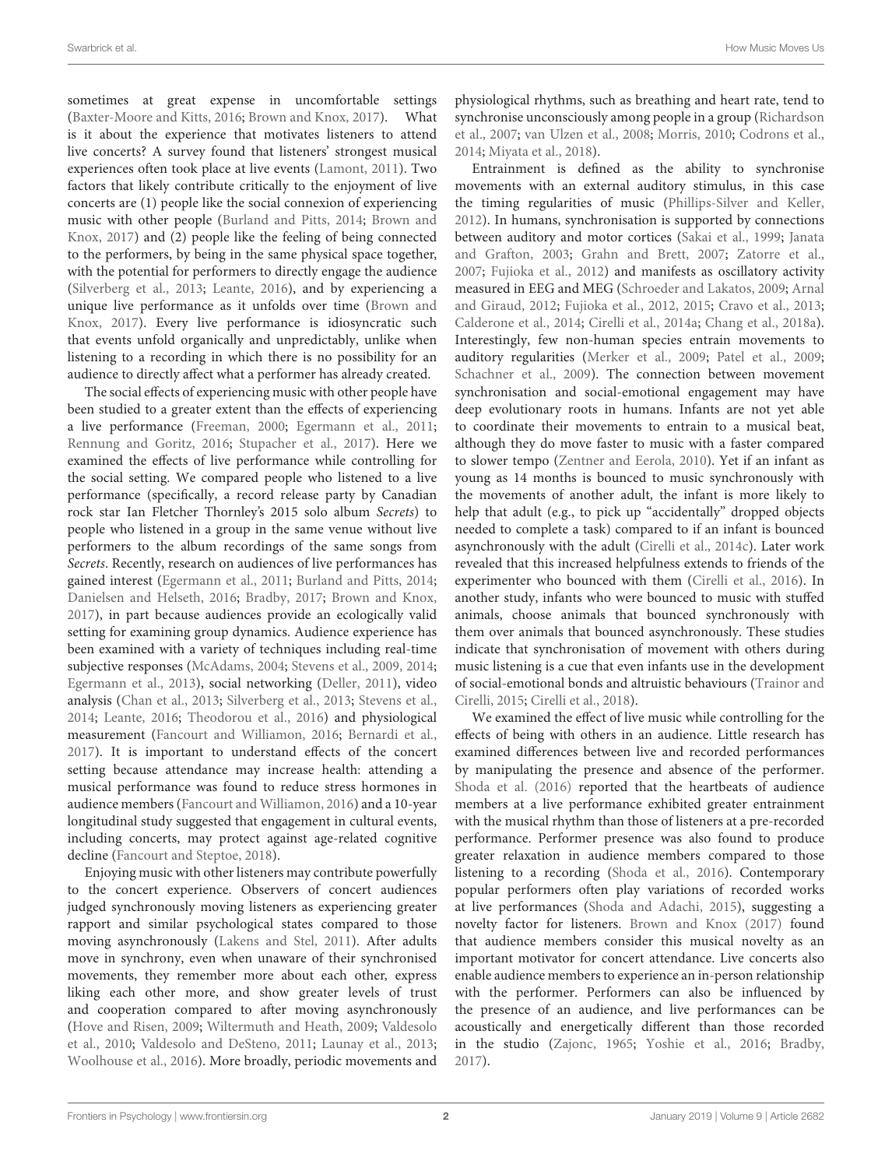sometimes at great expense in uncomfortable settings [\(Baxter-Moore and Kitts,](#page-8-0) [2016;](#page-8-0) [Brown and Knox,](#page-8-1) [2017\)](#page-8-1). What is it about the experience that motivates listeners to attend live concerts? A survey found that listeners' strongest musical experiences often took place at live events [\(Lamont,](#page-9-3) [2011\)](#page-9-3). Two factors that likely contribute critically to the enjoyment of live concerts are (1) people like the social connexion of experiencing music with other people [\(Burland and Pitts,](#page-8-2) [2014;](#page-8-2) [Brown and](#page-8-1) [Knox,](#page-8-1) [2017\)](#page-8-1) and (2) people like the feeling of being connected to the performers, by being in the same physical space together, with the potential for performers to directly engage the audience [\(Silverberg et al.,](#page-10-0) [2013;](#page-10-0) [Leante,](#page-9-4) [2016\)](#page-9-4), and by experiencing a unique live performance as it unfolds over time [\(Brown and](#page-8-1) [Knox,](#page-8-1) [2017\)](#page-8-1). Every live performance is idiosyncratic such that events unfold organically and unpredictably, unlike when listening to a recording in which there is no possibility for an audience to directly affect what a performer has already created.

The social effects of experiencing music with other people have been studied to a greater extent than the effects of experiencing a live performance [\(Freeman,](#page-9-1) [2000;](#page-9-1) [Egermann et al.,](#page-8-3) [2011;](#page-8-3) [Rennung and Goritz,](#page-9-5) [2016;](#page-9-5) [Stupacher et al.,](#page-10-1) [2017\)](#page-10-1). Here we examined the effects of live performance while controlling for the social setting. We compared people who listened to a live performance (specifically, a record release party by Canadian rock star Ian Fletcher Thornley's 2015 solo album Secrets) to people who listened in a group in the same venue without live performers to the album recordings of the same songs from Secrets. Recently, research on audiences of live performances has gained interest [\(Egermann et al.,](#page-8-3) [2011;](#page-8-3) [Burland and Pitts,](#page-8-2) [2014;](#page-8-2) [Danielsen and Helseth,](#page-8-4) [2016;](#page-8-4) [Bradby,](#page-8-5) [2017;](#page-8-5) [Brown and Knox,](#page-8-1) [2017\)](#page-8-1), in part because audiences provide an ecologically valid setting for examining group dynamics. Audience experience has been examined with a variety of techniques including real-time subjective responses [\(McAdams,](#page-9-6) [2004;](#page-9-6) [Stevens et al.,](#page-10-2) [2009,](#page-10-2) [2014;](#page-10-3) [Egermann et al.,](#page-8-6) [2013\)](#page-8-6), social networking [\(Deller,](#page-8-7) [2011\)](#page-8-7), video analysis [\(Chan et al.,](#page-8-8) [2013;](#page-8-8) [Silverberg et al.,](#page-10-0) [2013;](#page-10-0) [Stevens et al.,](#page-10-3) [2014;](#page-10-3) [Leante,](#page-9-4) [2016;](#page-9-4) [Theodorou et al.,](#page-10-4) [2016\)](#page-10-4) and physiological measurement [\(Fancourt and Williamon,](#page-9-7) [2016;](#page-9-7) [Bernardi et al.,](#page-8-9) [2017\)](#page-8-9). It is important to understand effects of the concert setting because attendance may increase health: attending a musical performance was found to reduce stress hormones in audience members [\(Fancourt and Williamon,](#page-9-7) [2016\)](#page-9-7) and a 10-year longitudinal study suggested that engagement in cultural events, including concerts, may protect against age-related cognitive decline [\(Fancourt and Steptoe,](#page-9-8) [2018\)](#page-9-8).

Enjoying music with other listeners may contribute powerfully to the concert experience. Observers of concert audiences judged synchronously moving listeners as experiencing greater rapport and similar psychological states compared to those moving asynchronously [\(Lakens and Stel,](#page-9-9) [2011\)](#page-9-9). After adults move in synchrony, even when unaware of their synchronised movements, they remember more about each other, express liking each other more, and show greater levels of trust and cooperation compared to after moving asynchronously [\(Hove and Risen,](#page-9-10) [2009;](#page-9-10) [Wiltermuth and Heath,](#page-10-5) [2009;](#page-10-5) [Valdesolo](#page-10-6) [et al.,](#page-10-6) [2010;](#page-10-6) [Valdesolo and DeSteno,](#page-10-7) [2011;](#page-10-7) [Launay et al.,](#page-9-11) [2013;](#page-9-11) [Woolhouse et al.,](#page-10-8) [2016\)](#page-10-8). More broadly, periodic movements and

physiological rhythms, such as breathing and heart rate, tend to synchronise unconsciously among people in a group [\(Richardson](#page-9-12) [et al.,](#page-9-12) [2007;](#page-9-12) [van Ulzen et al.,](#page-10-9) [2008;](#page-10-9) [Morris,](#page-9-13) [2010;](#page-9-13) [Codrons et al.,](#page-8-10) [2014;](#page-8-10) [Miyata et al.,](#page-9-14) [2018\)](#page-9-14).

Entrainment is defined as the ability to synchronise movements with an external auditory stimulus, in this case the timing regularities of music [\(Phillips-Silver and Keller,](#page-9-15) [2012\)](#page-9-15). In humans, synchronisation is supported by connections between auditory and motor cortices [\(Sakai et al.,](#page-9-16) [1999;](#page-9-16) [Janata](#page-9-17) [and Grafton,](#page-9-17) [2003;](#page-9-17) [Grahn and Brett,](#page-9-18) [2007;](#page-9-18) [Zatorre et al.,](#page-10-10) [2007;](#page-10-10) [Fujioka et al.,](#page-9-19) [2012\)](#page-9-19) and manifests as oscillatory activity measured in EEG and MEG [\(Schroeder and Lakatos,](#page-9-20) [2009;](#page-9-20) [Arnal](#page-8-11) [and Giraud,](#page-8-11) [2012;](#page-8-11) [Fujioka et al.,](#page-9-19) [2012,](#page-9-19) [2015;](#page-9-21) [Cravo et al.,](#page-8-12) [2013;](#page-8-12) [Calderone et al.,](#page-8-13) [2014;](#page-8-13) [Cirelli et al.,](#page-8-14) [2014a;](#page-8-14) [Chang et al.,](#page-8-15) [2018a\)](#page-8-15). Interestingly, few non-human species entrain movements to auditory regularities [\(Merker et al.,](#page-9-22) [2009;](#page-9-22) [Patel et al.,](#page-9-23) [2009;](#page-9-23) [Schachner et al.,](#page-9-24) [2009\)](#page-9-24). The connection between movement synchronisation and social-emotional engagement may have deep evolutionary roots in humans. Infants are not yet able to coordinate their movements to entrain to a musical beat, although they do move faster to music with a faster compared to slower tempo [\(Zentner and Eerola,](#page-10-11) [2010\)](#page-10-11). Yet if an infant as young as 14 months is bounced to music synchronously with the movements of another adult, the infant is more likely to help that adult (e.g., to pick up "accidentally" dropped objects needed to complete a task) compared to if an infant is bounced asynchronously with the adult [\(Cirelli et al.,](#page-8-16) [2014c\)](#page-8-16). Later work revealed that this increased helpfulness extends to friends of the experimenter who bounced with them [\(Cirelli et al.,](#page-8-17) [2016\)](#page-8-17). In another study, infants who were bounced to music with stuffed animals, choose animals that bounced synchronously with them over animals that bounced asynchronously. These studies indicate that synchronisation of movement with others during music listening is a cue that even infants use in the development of social-emotional bonds and altruistic behaviours [\(Trainor and](#page-10-12) [Cirelli,](#page-10-12) [2015;](#page-10-12) [Cirelli et al.,](#page-8-18) [2018\)](#page-8-18).

We examined the effect of live music while controlling for the effects of being with others in an audience. Little research has examined differences between live and recorded performances by manipulating the presence and absence of the performer. [Shoda et al.](#page-10-13) [\(2016\)](#page-10-13) reported that the heartbeats of audience members at a live performance exhibited greater entrainment with the musical rhythm than those of listeners at a pre-recorded performance. Performer presence was also found to produce greater relaxation in audience members compared to those listening to a recording [\(Shoda et al.,](#page-10-13) [2016\)](#page-10-13). Contemporary popular performers often play variations of recorded works at live performances [\(Shoda and Adachi,](#page-10-14) [2015\)](#page-10-14), suggesting a novelty factor for listeners. [Brown and Knox](#page-8-1) [\(2017\)](#page-8-1) found that audience members consider this musical novelty as an important motivator for concert attendance. Live concerts also enable audience members to experience an in-person relationship with the performer. Performers can also be influenced by the presence of an audience, and live performances can be acoustically and energetically different than those recorded in the studio [\(Zajonc,](#page-10-15) [1965;](#page-10-15) [Yoshie et al.,](#page-10-16) [2016;](#page-10-16) [Bradby,](#page-8-5) [2017\)](#page-8-5).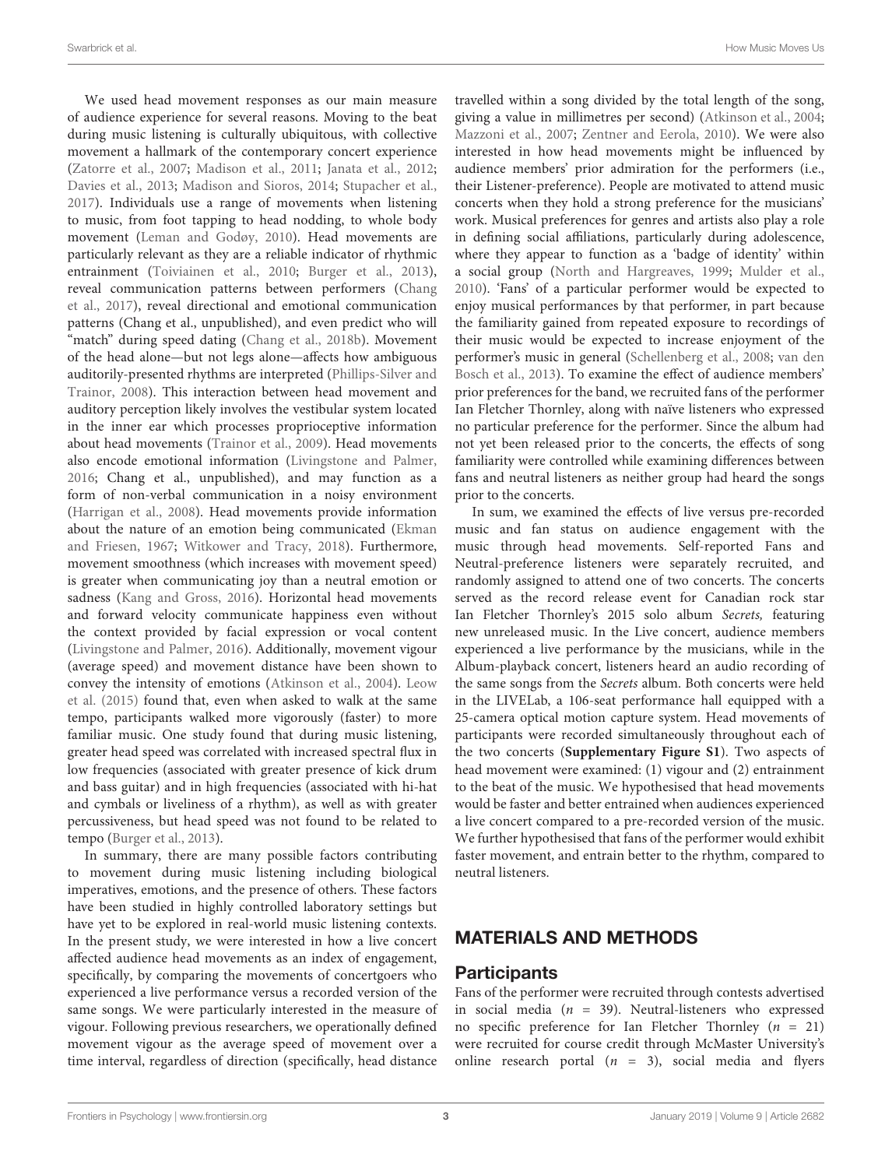We used head movement responses as our main measure of audience experience for several reasons. Moving to the beat during music listening is culturally ubiquitous, with collective movement a hallmark of the contemporary concert experience [\(Zatorre et al.,](#page-10-10) [2007;](#page-10-10) [Madison et al.,](#page-9-25) [2011;](#page-9-25) [Janata et al.,](#page-9-26) [2012;](#page-9-26) [Davies et al.,](#page-8-19) [2013;](#page-8-19) [Madison and Sioros,](#page-9-27) [2014;](#page-9-27) [Stupacher et al.,](#page-10-1) [2017\)](#page-10-1). Individuals use a range of movements when listening to music, from foot tapping to head nodding, to whole body movement [\(Leman and Godøy,](#page-9-28) [2010\)](#page-9-28). Head movements are particularly relevant as they are a reliable indicator of rhythmic entrainment [\(Toiviainen et al.,](#page-10-17) [2010;](#page-10-17) [Burger et al.,](#page-8-20) [2013\)](#page-8-20), reveal communication patterns between performers [\(Chang](#page-8-21) [et al.,](#page-8-21) [2017\)](#page-8-21), reveal directional and emotional communication patterns (Chang et al., unpublished), and even predict who will "match" during speed dating [\(Chang et al.,](#page-8-22) [2018b\)](#page-8-22). Movement of the head alone—but not legs alone—affects how ambiguous auditorily-presented rhythms are interpreted [\(Phillips-Silver and](#page-9-29) [Trainor,](#page-9-29) [2008\)](#page-9-29). This interaction between head movement and auditory perception likely involves the vestibular system located in the inner ear which processes proprioceptive information about head movements [\(Trainor et al.,](#page-10-18) [2009\)](#page-10-18). Head movements also encode emotional information [\(Livingstone and Palmer,](#page-9-30) [2016;](#page-9-30) Chang et al., unpublished), and may function as a form of non-verbal communication in a noisy environment [\(Harrigan et al.,](#page-9-31) [2008\)](#page-9-31). Head movements provide information about the nature of an emotion being communicated [\(Ekman](#page-8-23) [and Friesen,](#page-8-23) [1967;](#page-8-23) [Witkower and Tracy,](#page-10-19) [2018\)](#page-10-19). Furthermore, movement smoothness (which increases with movement speed) is greater when communicating joy than a neutral emotion or sadness [\(Kang and Gross,](#page-9-32) [2016\)](#page-9-32). Horizontal head movements and forward velocity communicate happiness even without the context provided by facial expression or vocal content [\(Livingstone and Palmer,](#page-9-30) [2016\)](#page-9-30). Additionally, movement vigour (average speed) and movement distance have been shown to convey the intensity of emotions [\(Atkinson et al.,](#page-8-24) [2004\)](#page-8-24). [Leow](#page-9-33) [et al.](#page-9-33) [\(2015\)](#page-9-33) found that, even when asked to walk at the same tempo, participants walked more vigorously (faster) to more familiar music. One study found that during music listening, greater head speed was correlated with increased spectral flux in low frequencies (associated with greater presence of kick drum and bass guitar) and in high frequencies (associated with hi-hat and cymbals or liveliness of a rhythm), as well as with greater percussiveness, but head speed was not found to be related to tempo [\(Burger et al.,](#page-8-20) [2013\)](#page-8-20).

In summary, there are many possible factors contributing to movement during music listening including biological imperatives, emotions, and the presence of others. These factors have been studied in highly controlled laboratory settings but have yet to be explored in real-world music listening contexts. In the present study, we were interested in how a live concert affected audience head movements as an index of engagement, specifically, by comparing the movements of concertgoers who experienced a live performance versus a recorded version of the same songs. We were particularly interested in the measure of vigour. Following previous researchers, we operationally defined movement vigour as the average speed of movement over a time interval, regardless of direction (specifically, head distance

travelled within a song divided by the total length of the song, giving a value in millimetres per second) [\(Atkinson et al.,](#page-8-24) [2004;](#page-8-24) [Mazzoni et al.,](#page-9-34) [2007;](#page-9-34) [Zentner and Eerola,](#page-10-11) [2010\)](#page-10-11). We were also interested in how head movements might be influenced by audience members' prior admiration for the performers (i.e., their Listener-preference). People are motivated to attend music concerts when they hold a strong preference for the musicians' work. Musical preferences for genres and artists also play a role in defining social affiliations, particularly during adolescence, where they appear to function as a 'badge of identity' within a social group [\(North and Hargreaves,](#page-9-35) [1999;](#page-9-35) [Mulder et al.,](#page-9-36) [2010\)](#page-9-36). 'Fans' of a particular performer would be expected to enjoy musical performances by that performer, in part because the familiarity gained from repeated exposure to recordings of their music would be expected to increase enjoyment of the performer's music in general [\(Schellenberg et al.,](#page-9-37) [2008;](#page-9-37) [van den](#page-10-20) [Bosch et al.,](#page-10-20) [2013\)](#page-10-20). To examine the effect of audience members' prior preferences for the band, we recruited fans of the performer Ian Fletcher Thornley, along with naïve listeners who expressed no particular preference for the performer. Since the album had not yet been released prior to the concerts, the effects of song familiarity were controlled while examining differences between fans and neutral listeners as neither group had heard the songs prior to the concerts.

In sum, we examined the effects of live versus pre-recorded music and fan status on audience engagement with the music through head movements. Self-reported Fans and Neutral-preference listeners were separately recruited, and randomly assigned to attend one of two concerts. The concerts served as the record release event for Canadian rock star Ian Fletcher Thornley's 2015 solo album Secrets, featuring new unreleased music. In the Live concert, audience members experienced a live performance by the musicians, while in the Album-playback concert, listeners heard an audio recording of the same songs from the Secrets album. Both concerts were held in the LIVELab, a 106-seat performance hall equipped with a 25-camera optical motion capture system. Head movements of participants were recorded simultaneously throughout each of the two concerts (**[Supplementary Figure S1](#page-8-25)**). Two aspects of head movement were examined: (1) vigour and (2) entrainment to the beat of the music. We hypothesised that head movements would be faster and better entrained when audiences experienced a live concert compared to a pre-recorded version of the music. We further hypothesised that fans of the performer would exhibit faster movement, and entrain better to the rhythm, compared to neutral listeners.

# MATERIALS AND METHODS

### **Participants**

Fans of the performer were recruited through contests advertised in social media ( $n = 39$ ). Neutral-listeners who expressed no specific preference for Ian Fletcher Thornley ( $n = 21$ ) were recruited for course credit through McMaster University's online research portal  $(n = 3)$ , social media and flyers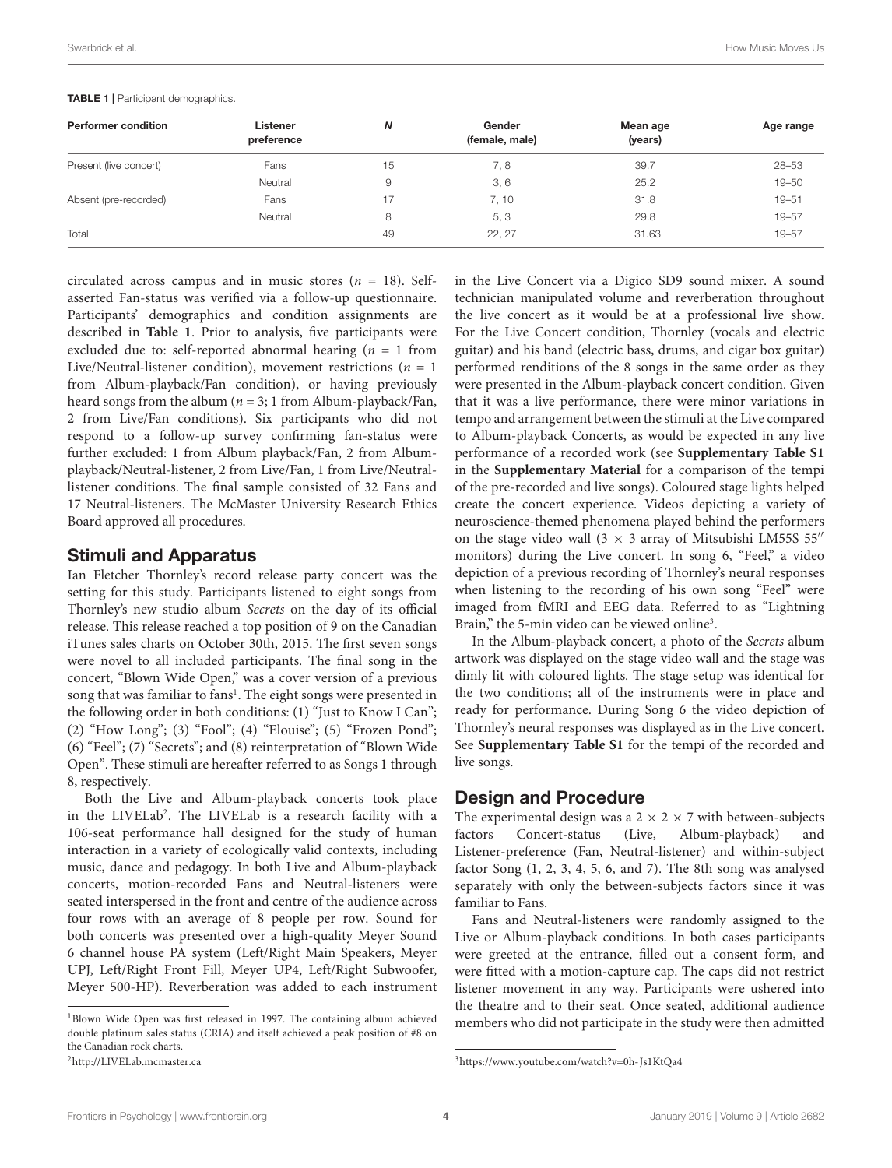<span id="page-3-0"></span>

|  |  | <b>TABLE 1</b>   Participant demographics. |
|--|--|--------------------------------------------|
|--|--|--------------------------------------------|

| <b>Performer condition</b> | Listener   | N  | Gender         | Mean age | Age range |
|----------------------------|------------|----|----------------|----------|-----------|
|                            | preference |    | (female, male) | (years)  |           |
| Present (live concert)     | Fans       | 15 | 7,8            | 39.7     | $28 - 53$ |
|                            | Neutral    | 9  | 3, 6           | 25.2     | $19 - 50$ |
| Absent (pre-recorded)      | Fans       | 17 | 7, 10          | 31.8     | $19 - 51$ |
|                            | Neutral    | 8  | 5, 3           | 29.8     | $19 - 57$ |
| Total                      |            | 49 | 22.27          | 31.63    | $19 - 57$ |

circulated across campus and in music stores ( $n = 18$ ). Selfasserted Fan-status was verified via a follow-up questionnaire. Participants' demographics and condition assignments are described in **[Table 1](#page-3-0)**. Prior to analysis, five participants were excluded due to: self-reported abnormal hearing ( $n = 1$  from Live/Neutral-listener condition), movement restrictions ( $n = 1$ ) from Album-playback/Fan condition), or having previously heard songs from the album ( $n = 3$ ; 1 from Album-playback/Fan, 2 from Live/Fan conditions). Six participants who did not respond to a follow-up survey confirming fan-status were further excluded: 1 from Album playback/Fan, 2 from Albumplayback/Neutral-listener, 2 from Live/Fan, 1 from Live/Neutrallistener conditions. The final sample consisted of 32 Fans and 17 Neutral-listeners. The McMaster University Research Ethics Board approved all procedures.

### Stimuli and Apparatus

Ian Fletcher Thornley's record release party concert was the setting for this study. Participants listened to eight songs from Thornley's new studio album Secrets on the day of its official release. This release reached a top position of 9 on the Canadian iTunes sales charts on October 30th, 2015. The first seven songs were novel to all included participants. The final song in the concert, "Blown Wide Open," was a cover version of a previous song that was familiar to fans<sup>[1](#page-3-1)</sup>. The eight songs were presented in the following order in both conditions: (1) "Just to Know I Can"; (2) "How Long"; (3) "Fool"; (4) "Elouise"; (5) "Frozen Pond"; (6) "Feel"; (7) "Secrets"; and (8) reinterpretation of "Blown Wide Open". These stimuli are hereafter referred to as Songs 1 through 8, respectively.

Both the Live and Album-playback concerts took place in the LIVELab<sup>[2](#page-3-2)</sup>. The LIVELab is a research facility with a 106-seat performance hall designed for the study of human interaction in a variety of ecologically valid contexts, including music, dance and pedagogy. In both Live and Album-playback concerts, motion-recorded Fans and Neutral-listeners were seated interspersed in the front and centre of the audience across four rows with an average of 8 people per row. Sound for both concerts was presented over a high-quality Meyer Sound 6 channel house PA system (Left/Right Main Speakers, Meyer UPJ, Left/Right Front Fill, Meyer UP4, Left/Right Subwoofer, Meyer 500-HP). Reverberation was added to each instrument in the Live Concert via a Digico SD9 sound mixer. A sound technician manipulated volume and reverberation throughout the live concert as it would be at a professional live show. For the Live Concert condition, Thornley (vocals and electric guitar) and his band (electric bass, drums, and cigar box guitar) performed renditions of the 8 songs in the same order as they were presented in the Album-playback concert condition. Given that it was a live performance, there were minor variations in tempo and arrangement between the stimuli at the Live compared to Album-playback Concerts, as would be expected in any live performance of a recorded work (see **[Supplementary Table S1](#page-8-25)** in the **[Supplementary Material](#page-8-25)** for a comparison of the tempi of the pre-recorded and live songs). Coloured stage lights helped create the concert experience. Videos depicting a variety of neuroscience-themed phenomena played behind the performers on the stage video wall (3  $\times$  3 array of Mitsubishi LM55S 55" monitors) during the Live concert. In song 6, "Feel," a video depiction of a previous recording of Thornley's neural responses when listening to the recording of his own song "Feel" were imaged from fMRI and EEG data. Referred to as "Lightning Brain," the 5-min video can be viewed online<sup>[3](#page-3-3)</sup>.

In the Album-playback concert, a photo of the Secrets album artwork was displayed on the stage video wall and the stage was dimly lit with coloured lights. The stage setup was identical for the two conditions; all of the instruments were in place and ready for performance. During Song 6 the video depiction of Thornley's neural responses was displayed as in the Live concert. See **[Supplementary Table S1](#page-8-25)** for the tempi of the recorded and live songs.

#### Design and Procedure

The experimental design was a  $2 \times 2 \times 7$  with between-subjects factors Concert-status (Live, Album-playback) and Listener-preference (Fan, Neutral-listener) and within-subject factor Song (1, 2, 3, 4, 5, 6, and 7). The 8th song was analysed separately with only the between-subjects factors since it was familiar to Fans.

Fans and Neutral-listeners were randomly assigned to the Live or Album-playback conditions. In both cases participants were greeted at the entrance, filled out a consent form, and were fitted with a motion-capture cap. The caps did not restrict listener movement in any way. Participants were ushered into the theatre and to their seat. Once seated, additional audience members who did not participate in the study were then admitted

<span id="page-3-1"></span><sup>&</sup>lt;sup>1</sup>Blown Wide Open was first released in 1997. The containing album achieved double platinum sales status (CRIA) and itself achieved a peak position of #8 on the Canadian rock charts.

<span id="page-3-2"></span><sup>2</sup><http://LIVELab.mcmaster.ca>

<span id="page-3-3"></span><sup>3</sup><https://www.youtube.com/watch?v=0h-Js1KtQa4>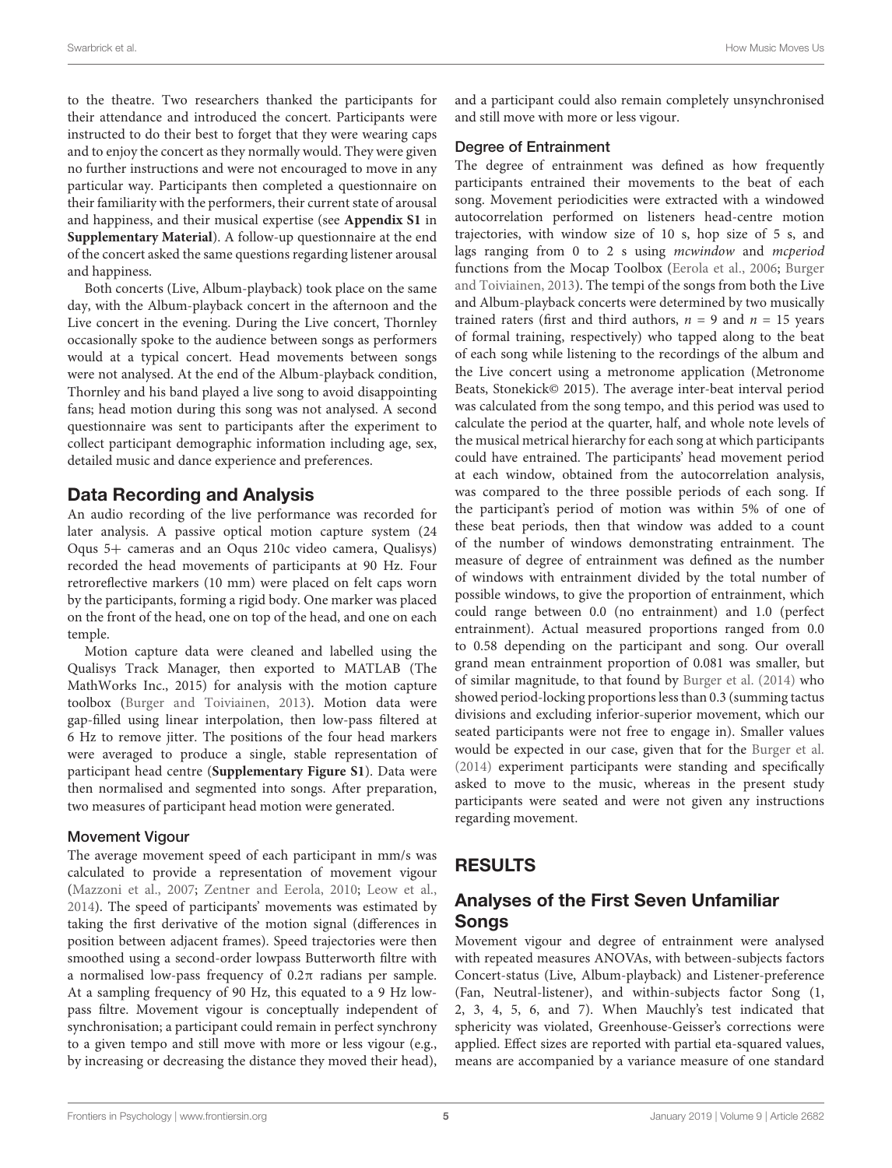to the theatre. Two researchers thanked the participants for their attendance and introduced the concert. Participants were instructed to do their best to forget that they were wearing caps and to enjoy the concert as they normally would. They were given no further instructions and were not encouraged to move in any particular way. Participants then completed a questionnaire on their familiarity with the performers, their current state of arousal and happiness, and their musical expertise (see **[Appendix S1](#page-8-25)** in **[Supplementary Material](#page-8-25)**). A follow-up questionnaire at the end of the concert asked the same questions regarding listener arousal and happiness.

Both concerts (Live, Album-playback) took place on the same day, with the Album-playback concert in the afternoon and the Live concert in the evening. During the Live concert, Thornley occasionally spoke to the audience between songs as performers would at a typical concert. Head movements between songs were not analysed. At the end of the Album-playback condition, Thornley and his band played a live song to avoid disappointing fans; head motion during this song was not analysed. A second questionnaire was sent to participants after the experiment to collect participant demographic information including age, sex, detailed music and dance experience and preferences.

## Data Recording and Analysis

An audio recording of the live performance was recorded for later analysis. A passive optical motion capture system (24 Oqus 5+ cameras and an Oqus 210c video camera, Qualisys) recorded the head movements of participants at 90 Hz. Four retroreflective markers (10 mm) were placed on felt caps worn by the participants, forming a rigid body. One marker was placed on the front of the head, one on top of the head, and one on each temple.

Motion capture data were cleaned and labelled using the Qualisys Track Manager, then exported to MATLAB (The MathWorks Inc., 2015) for analysis with the motion capture toolbox [\(Burger and Toiviainen,](#page-8-26) [2013\)](#page-8-26). Motion data were gap-filled using linear interpolation, then low-pass filtered at 6 Hz to remove jitter. The positions of the four head markers were averaged to produce a single, stable representation of participant head centre (**[Supplementary Figure S1](#page-8-25)**). Data were then normalised and segmented into songs. After preparation, two measures of participant head motion were generated.

#### Movement Vigour

The average movement speed of each participant in mm/s was calculated to provide a representation of movement vigour [\(Mazzoni et al.,](#page-9-34) [2007;](#page-9-34) [Zentner and Eerola,](#page-10-11) [2010;](#page-10-11) [Leow et al.,](#page-9-38) [2014\)](#page-9-38). The speed of participants' movements was estimated by taking the first derivative of the motion signal (differences in position between adjacent frames). Speed trajectories were then smoothed using a second-order lowpass Butterworth filtre with a normalised low-pass frequency of 0.2π radians per sample. At a sampling frequency of 90 Hz, this equated to a 9 Hz lowpass filtre. Movement vigour is conceptually independent of synchronisation; a participant could remain in perfect synchrony to a given tempo and still move with more or less vigour (e.g., by increasing or decreasing the distance they moved their head),

and a participant could also remain completely unsynchronised and still move with more or less vigour.

#### Degree of Entrainment

The degree of entrainment was defined as how frequently participants entrained their movements to the beat of each song. Movement periodicities were extracted with a windowed autocorrelation performed on listeners head-centre motion trajectories, with window size of 10 s, hop size of 5 s, and lags ranging from 0 to 2 s using mcwindow and mcperiod functions from the Mocap Toolbox [\(Eerola et al.,](#page-8-27) [2006;](#page-8-27) [Burger](#page-8-26) [and Toiviainen,](#page-8-26) [2013\)](#page-8-26). The tempi of the songs from both the Live and Album-playback concerts were determined by two musically trained raters (first and third authors,  $n = 9$  and  $n = 15$  years of formal training, respectively) who tapped along to the beat of each song while listening to the recordings of the album and the Live concert using a metronome application (Metronome Beats, Stonekick© 2015). The average inter-beat interval period was calculated from the song tempo, and this period was used to calculate the period at the quarter, half, and whole note levels of the musical metrical hierarchy for each song at which participants could have entrained. The participants' head movement period at each window, obtained from the autocorrelation analysis, was compared to the three possible periods of each song. If the participant's period of motion was within 5% of one of these beat periods, then that window was added to a count of the number of windows demonstrating entrainment. The measure of degree of entrainment was defined as the number of windows with entrainment divided by the total number of possible windows, to give the proportion of entrainment, which could range between 0.0 (no entrainment) and 1.0 (perfect entrainment). Actual measured proportions ranged from 0.0 to 0.58 depending on the participant and song. Our overall grand mean entrainment proportion of 0.081 was smaller, but of similar magnitude, to that found by [Burger et al.](#page-8-28) [\(2014\)](#page-8-28) who showed period-locking proportions less than 0.3 (summing tactus divisions and excluding inferior-superior movement, which our seated participants were not free to engage in). Smaller values would be expected in our case, given that for the [Burger et al.](#page-8-28) [\(2014\)](#page-8-28) experiment participants were standing and specifically asked to move to the music, whereas in the present study participants were seated and were not given any instructions regarding movement.

# RESULTS

# Analyses of the First Seven Unfamiliar **Songs**

Movement vigour and degree of entrainment were analysed with repeated measures ANOVAs, with between-subjects factors Concert-status (Live, Album-playback) and Listener-preference (Fan, Neutral-listener), and within-subjects factor Song (1, 2, 3, 4, 5, 6, and 7). When Mauchly's test indicated that sphericity was violated, Greenhouse-Geisser's corrections were applied. Effect sizes are reported with partial eta-squared values, means are accompanied by a variance measure of one standard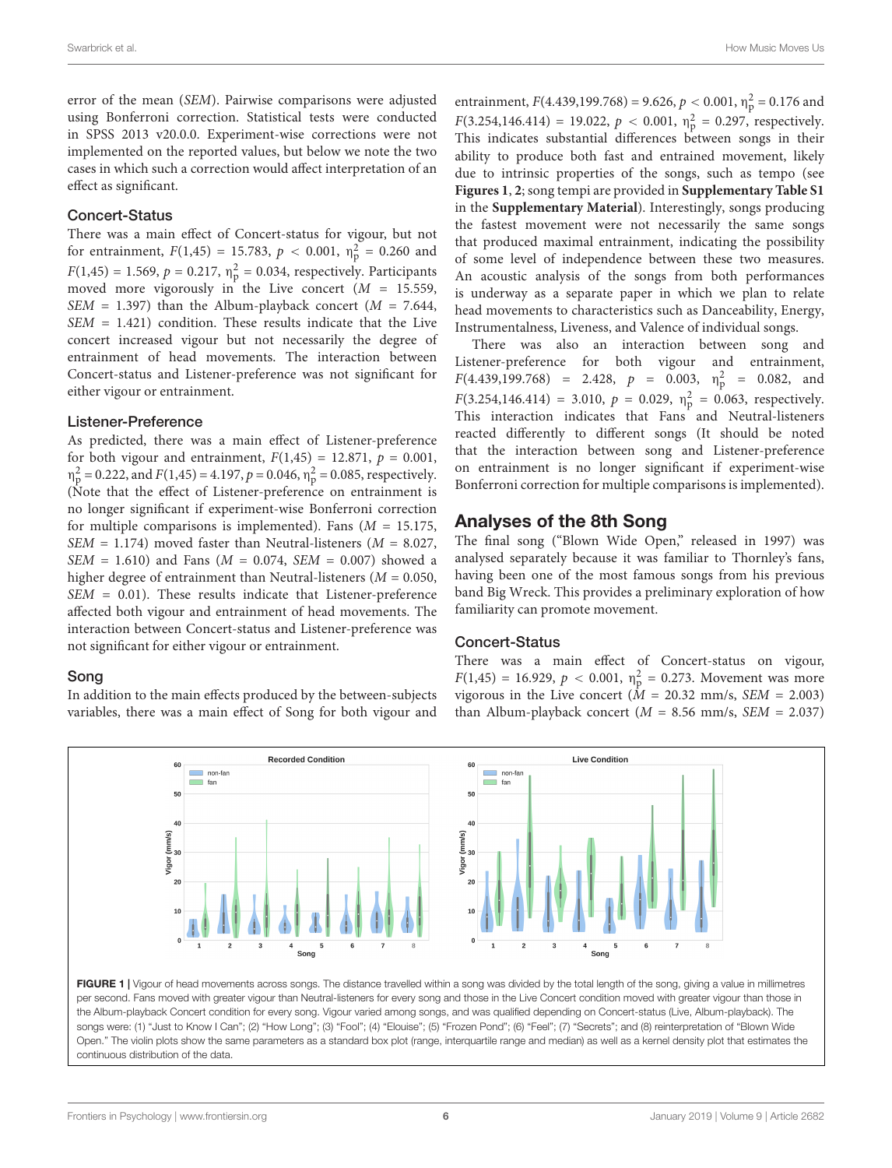error of the mean (SEM). Pairwise comparisons were adjusted using Bonferroni correction. Statistical tests were conducted in SPSS 2013 v20.0.0. Experiment-wise corrections were not implemented on the reported values, but below we note the two cases in which such a correction would affect interpretation of an effect as significant.

#### Concert-Status

There was a main effect of Concert-status for vigour, but not for entrainment,  $F(1,45) = 15.783$ ,  $p < 0.001$ ,  $\eta_{p}^{2} = 0.260$  and  $F(1,45) = 1.569, p = 0.217, \eta_p^2 = 0.034$ , respectively. Participants moved more vigorously in the Live concert  $(M = 15.559,$  $SEM = 1.397$ ) than the Album-playback concert ( $M = 7.644$ ,  $SEM = 1.421$ ) condition. These results indicate that the Live concert increased vigour but not necessarily the degree of entrainment of head movements. The interaction between Concert-status and Listener-preference was not significant for either vigour or entrainment.

#### Listener-Preference

As predicted, there was a main effect of Listener-preference for both vigour and entrainment,  $F(1,45) = 12.871$ ,  $p = 0.001$ ,  $\eta_p^2 = 0.222$ , and  $F(1,45) = 4.197$ ,  $p = 0.046$ ,  $\eta_p^2 = 0.085$ , respectively. (Note that the effect of Listener-preference on entrainment is no longer significant if experiment-wise Bonferroni correction for multiple comparisons is implemented). Fans  $(M = 15.175,$  $SEM = 1.174$ ) moved faster than Neutral-listeners ( $M = 8.027$ ,  $SEM = 1.610$  and Fans ( $M = 0.074$ ,  $SEM = 0.007$ ) showed a higher degree of entrainment than Neutral-listeners ( $M = 0.050$ ,  $SEM = 0.01$ ). These results indicate that Listener-preference affected both vigour and entrainment of head movements. The interaction between Concert-status and Listener-preference was not significant for either vigour or entrainment.

#### Song

In addition to the main effects produced by the between-subjects variables, there was a main effect of Song for both vigour and

entrainment,  $F(4.439,199.768) = 9.626, p < 0.001, \eta_p^2 = 0.176$  and  $F(3.254, 146.414) = 19.022, p < 0.001, \eta_p^2 = 0.297$ , respectively. This indicates substantial differences between songs in their ability to produce both fast and entrained movement, likely due to intrinsic properties of the songs, such as tempo (see **[Figures 1](#page-5-0)**, **[2](#page-6-0)**; song tempi are provided in **[Supplementary Table S1](#page-8-25)** in the **[Supplementary Material](#page-8-25)**). Interestingly, songs producing the fastest movement were not necessarily the same songs that produced maximal entrainment, indicating the possibility of some level of independence between these two measures. An acoustic analysis of the songs from both performances is underway as a separate paper in which we plan to relate head movements to characteristics such as Danceability, Energy, Instrumentalness, Liveness, and Valence of individual songs.

There was also an interaction between song and Listener-preference for both vigour and entrainment,  $F(4.439, 199.768) = 2.428, p = 0.003, \eta_p^2 = 0.082, \text{ and}$  $F(3.254, 146.414) = 3.010, p = 0.029, \eta_p^2 = 0.063$ , respectively. This interaction indicates that Fans and Neutral-listeners reacted differently to different songs (It should be noted that the interaction between song and Listener-preference on entrainment is no longer significant if experiment-wise Bonferroni correction for multiple comparisons is implemented).

# Analyses of the 8th Song

The final song ("Blown Wide Open," released in 1997) was analysed separately because it was familiar to Thornley's fans, having been one of the most famous songs from his previous band Big Wreck. This provides a preliminary exploration of how familiarity can promote movement.

#### Concert-Status

There was a main effect of Concert-status on vigour,  $F(1,45) = 16.929, p < 0.001, \eta_{\rm p}^2 = 0.273$ . Movement was more vigorous in the Live concert ( $\dot{M} = 20.32$  mm/s, SEM = 2.003) than Album-playback concert ( $M = 8.56$  mm/s, SEM = 2.037)



<span id="page-5-0"></span>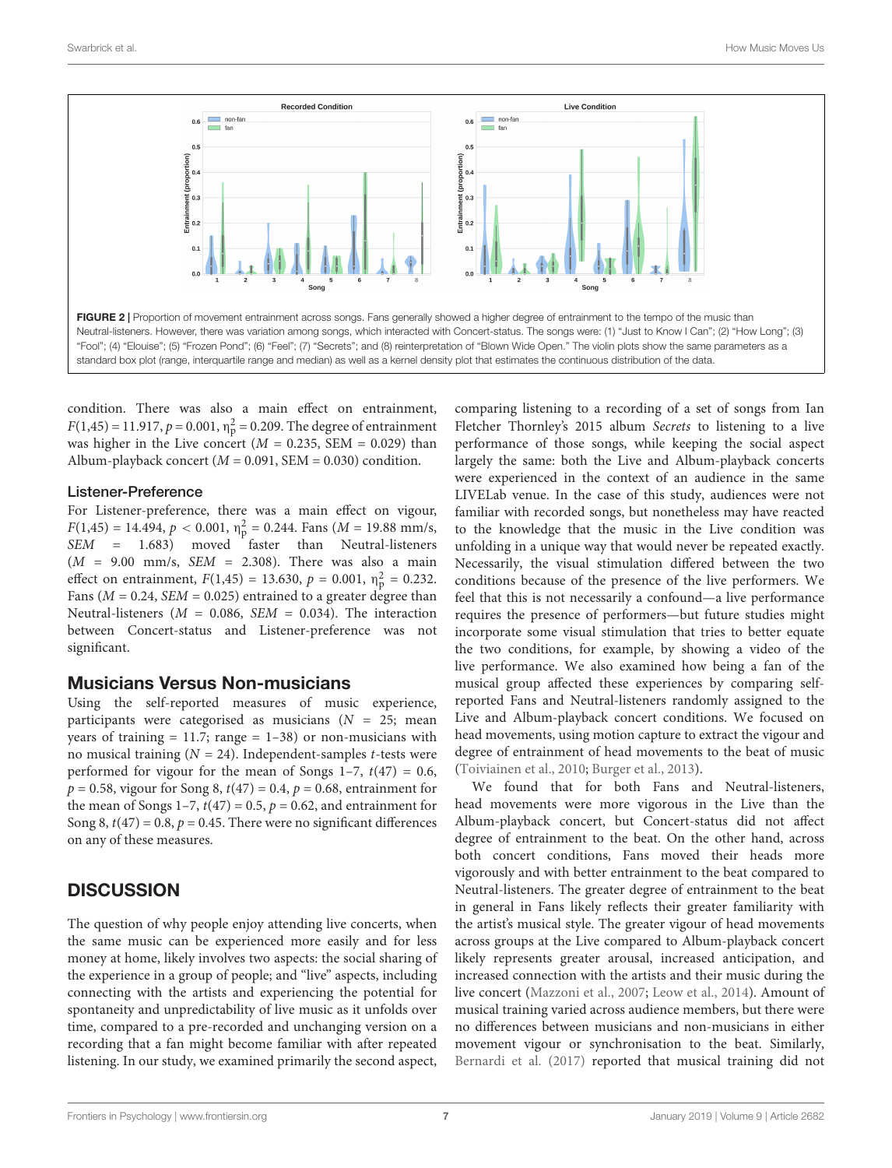

<span id="page-6-0"></span>condition. There was also a main effect on entrainment,  $F(1,45) = 11.917, p = 0.001, \eta_p^2 = 0.209$ . The degree of entrainment was higher in the Live concert ( $M = 0.235$ , SEM = 0.029) than Album-playback concert ( $M = 0.091$ , SEM = 0.030) condition.

#### Listener-Preference

For Listener-preference, there was a main effect on vigour,  $F(1,45) = 14.494$ ,  $p < 0.001$ ,  $n_p^2 = 0.244$ . Fans ( $M = 19.88$  mm/s, SEM = 1.683) moved faster than Neutral-listeners  $(M = 9.00 \text{ mm/s}, \text{SEM} = 2.308)$ . There was also a main effect on entrainment,  $F(1,45) = 13.630$ ,  $p = 0.001$ ,  $\eta_p^2 = 0.232$ . Fans ( $M = 0.24$ , SEM = 0.025) entrained to a greater degree than Neutral-listeners ( $M = 0.086$ , SEM = 0.034). The interaction between Concert-status and Listener-preference was not significant.

### Musicians Versus Non-musicians

Using the self-reported measures of music experience, participants were categorised as musicians  $(N = 25;$  mean years of training = 11.7; range =  $1-38$ ) or non-musicians with no musical training ( $N = 24$ ). Independent-samples *t*-tests were performed for vigour for the mean of Songs  $1-7$ ,  $t(47) = 0.6$ ,  $p = 0.58$ , vigour for Song 8,  $t(47) = 0.4$ ,  $p = 0.68$ , entrainment for the mean of Songs 1–7,  $t(47) = 0.5$ ,  $p = 0.62$ , and entrainment for Song 8,  $t(47) = 0.8$ ,  $p = 0.45$ . There were no significant differences on any of these measures.

# **DISCUSSION**

The question of why people enjoy attending live concerts, when the same music can be experienced more easily and for less money at home, likely involves two aspects: the social sharing of the experience in a group of people; and "live" aspects, including connecting with the artists and experiencing the potential for spontaneity and unpredictability of live music as it unfolds over time, compared to a pre-recorded and unchanging version on a recording that a fan might become familiar with after repeated listening. In our study, we examined primarily the second aspect,

comparing listening to a recording of a set of songs from Ian Fletcher Thornley's 2015 album Secrets to listening to a live performance of those songs, while keeping the social aspect largely the same: both the Live and Album-playback concerts were experienced in the context of an audience in the same LIVELab venue. In the case of this study, audiences were not familiar with recorded songs, but nonetheless may have reacted to the knowledge that the music in the Live condition was unfolding in a unique way that would never be repeated exactly. Necessarily, the visual stimulation differed between the two conditions because of the presence of the live performers. We feel that this is not necessarily a confound—a live performance requires the presence of performers—but future studies might incorporate some visual stimulation that tries to better equate the two conditions, for example, by showing a video of the live performance. We also examined how being a fan of the musical group affected these experiences by comparing selfreported Fans and Neutral-listeners randomly assigned to the Live and Album-playback concert conditions. We focused on head movements, using motion capture to extract the vigour and degree of entrainment of head movements to the beat of music [\(Toiviainen et al.,](#page-10-17) [2010;](#page-10-17) [Burger et al.,](#page-8-20) [2013\)](#page-8-20).

We found that for both Fans and Neutral-listeners, head movements were more vigorous in the Live than the Album-playback concert, but Concert-status did not affect degree of entrainment to the beat. On the other hand, across both concert conditions, Fans moved their heads more vigorously and with better entrainment to the beat compared to Neutral-listeners. The greater degree of entrainment to the beat in general in Fans likely reflects their greater familiarity with the artist's musical style. The greater vigour of head movements across groups at the Live compared to Album-playback concert likely represents greater arousal, increased anticipation, and increased connection with the artists and their music during the live concert [\(Mazzoni et al.,](#page-9-34) [2007;](#page-9-34) [Leow et al.,](#page-9-38) [2014\)](#page-9-38). Amount of musical training varied across audience members, but there were no differences between musicians and non-musicians in either movement vigour or synchronisation to the beat. Similarly, [Bernardi et al.](#page-8-9) [\(2017\)](#page-8-9) reported that musical training did not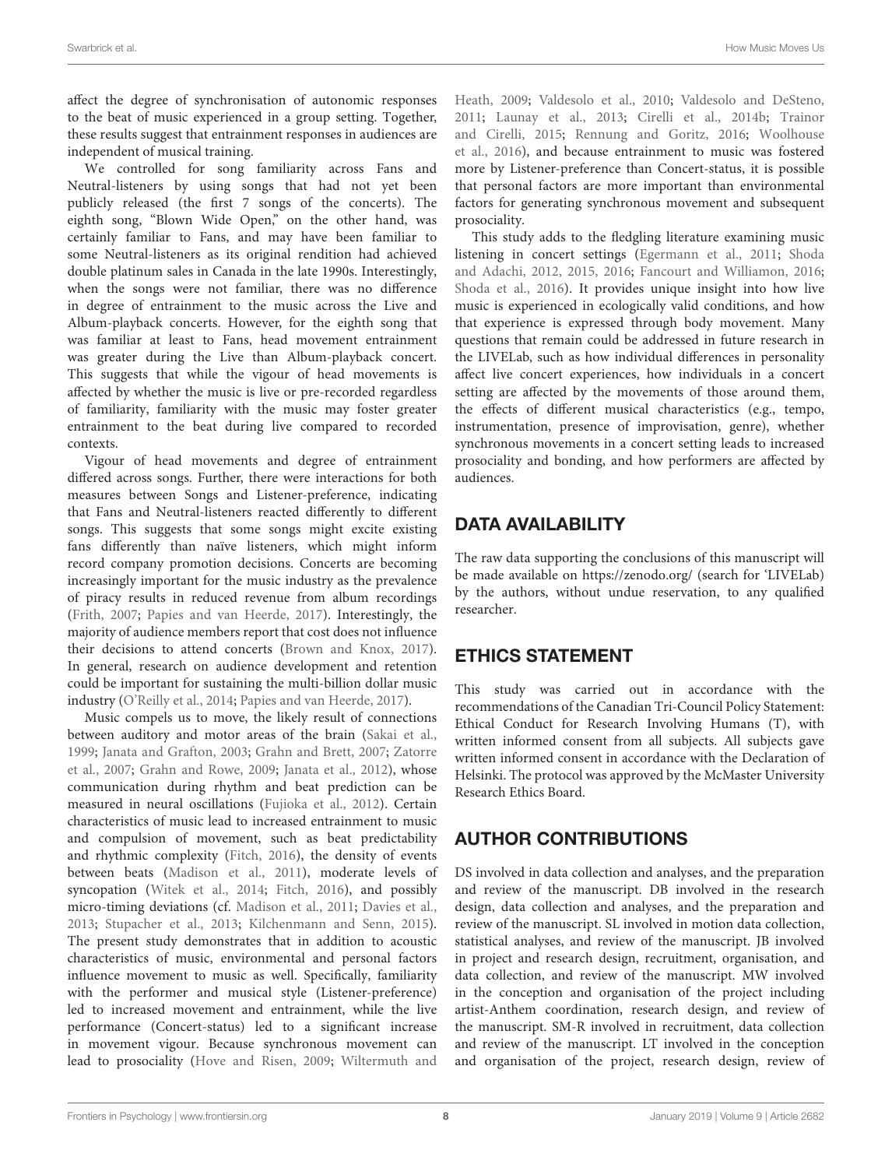affect the degree of synchronisation of autonomic responses to the beat of music experienced in a group setting. Together, these results suggest that entrainment responses in audiences are independent of musical training.

We controlled for song familiarity across Fans and Neutral-listeners by using songs that had not yet been publicly released (the first 7 songs of the concerts). The eighth song, "Blown Wide Open," on the other hand, was certainly familiar to Fans, and may have been familiar to some Neutral-listeners as its original rendition had achieved double platinum sales in Canada in the late 1990s. Interestingly, when the songs were not familiar, there was no difference in degree of entrainment to the music across the Live and Album-playback concerts. However, for the eighth song that was familiar at least to Fans, head movement entrainment was greater during the Live than Album-playback concert. This suggests that while the vigour of head movements is affected by whether the music is live or pre-recorded regardless of familiarity, familiarity with the music may foster greater entrainment to the beat during live compared to recorded contexts.

Vigour of head movements and degree of entrainment differed across songs. Further, there were interactions for both measures between Songs and Listener-preference, indicating that Fans and Neutral-listeners reacted differently to different songs. This suggests that some songs might excite existing fans differently than naïve listeners, which might inform record company promotion decisions. Concerts are becoming increasingly important for the music industry as the prevalence of piracy results in reduced revenue from album recordings [\(Frith,](#page-9-39) [2007;](#page-9-39) [Papies and van Heerde,](#page-9-40) [2017\)](#page-9-40). Interestingly, the majority of audience members report that cost does not influence their decisions to attend concerts [\(Brown and Knox,](#page-8-1) [2017\)](#page-8-1). In general, research on audience development and retention could be important for sustaining the multi-billion dollar music industry [\(O'Reilly et al.,](#page-9-41) [2014;](#page-9-41) [Papies and van Heerde,](#page-9-40) [2017\)](#page-9-40).

Music compels us to move, the likely result of connections between auditory and motor areas of the brain [\(Sakai et al.,](#page-9-16) [1999;](#page-9-16) [Janata and Grafton,](#page-9-17) [2003;](#page-9-17) [Grahn and Brett,](#page-9-18) [2007;](#page-9-18) [Zatorre](#page-10-10) [et al.,](#page-10-10) [2007;](#page-10-10) [Grahn and Rowe,](#page-9-42) [2009;](#page-9-42) [Janata et al.,](#page-9-26) [2012\)](#page-9-26), whose communication during rhythm and beat prediction can be measured in neural oscillations [\(Fujioka et al.,](#page-9-19) [2012\)](#page-9-19). Certain characteristics of music lead to increased entrainment to music and compulsion of movement, such as beat predictability and rhythmic complexity [\(Fitch,](#page-9-43) [2016\)](#page-9-43), the density of events between beats [\(Madison et al.,](#page-9-25) [2011\)](#page-9-25), moderate levels of syncopation [\(Witek et al.,](#page-10-21) [2014;](#page-10-21) [Fitch,](#page-9-43) [2016\)](#page-9-43), and possibly micro-timing deviations (cf. [Madison et al.,](#page-9-25) [2011;](#page-9-25) [Davies et al.,](#page-8-19) [2013;](#page-8-19) [Stupacher et al.,](#page-10-22) [2013;](#page-10-22) [Kilchenmann and Senn,](#page-9-44) [2015\)](#page-9-44). The present study demonstrates that in addition to acoustic characteristics of music, environmental and personal factors influence movement to music as well. Specifically, familiarity with the performer and musical style (Listener-preference) led to increased movement and entrainment, while the live performance (Concert-status) led to a significant increase in movement vigour. Because synchronous movement can lead to prosociality [\(Hove and Risen,](#page-9-10) [2009;](#page-9-10) [Wiltermuth and](#page-10-5)

[Heath,](#page-10-5) [2009;](#page-10-5) [Valdesolo et al.,](#page-10-6) [2010;](#page-10-6) [Valdesolo and DeSteno,](#page-10-7) [2011;](#page-10-7) [Launay et al.,](#page-9-11) [2013;](#page-9-11) [Cirelli et al.,](#page-8-29) [2014b;](#page-8-29) [Trainor](#page-10-12) [and Cirelli,](#page-10-12) [2015;](#page-10-12) [Rennung and Goritz,](#page-9-5) [2016;](#page-9-5) [Woolhouse](#page-10-8) [et al.,](#page-10-8) [2016\)](#page-10-8), and because entrainment to music was fostered more by Listener-preference than Concert-status, it is possible that personal factors are more important than environmental factors for generating synchronous movement and subsequent prosociality.

This study adds to the fledgling literature examining music listening in concert settings [\(Egermann et al.,](#page-8-3) [2011;](#page-8-3) [Shoda](#page-9-45) [and Adachi,](#page-9-45) [2012,](#page-9-45) [2015,](#page-10-14) [2016;](#page-10-23) [Fancourt and Williamon,](#page-9-7) [2016;](#page-9-7) [Shoda et al.,](#page-10-13) [2016\)](#page-10-13). It provides unique insight into how live music is experienced in ecologically valid conditions, and how that experience is expressed through body movement. Many questions that remain could be addressed in future research in the LIVELab, such as how individual differences in personality affect live concert experiences, how individuals in a concert setting are affected by the movements of those around them, the effects of different musical characteristics (e.g., tempo, instrumentation, presence of improvisation, genre), whether synchronous movements in a concert setting leads to increased prosociality and bonding, and how performers are affected by audiences.

# DATA AVAILABILITY

The raw data supporting the conclusions of this manuscript will be made available on <https://zenodo.org/> (search for 'LIVELab) by the authors, without undue reservation, to any qualified researcher.

# ETHICS STATEMENT

This study was carried out in accordance with the recommendations of the Canadian Tri-Council Policy Statement: Ethical Conduct for Research Involving Humans (T), with written informed consent from all subjects. All subjects gave written informed consent in accordance with the Declaration of Helsinki. The protocol was approved by the McMaster University Research Ethics Board.

# AUTHOR CONTRIBUTIONS

DS involved in data collection and analyses, and the preparation and review of the manuscript. DB involved in the research design, data collection and analyses, and the preparation and review of the manuscript. SL involved in motion data collection, statistical analyses, and review of the manuscript. JB involved in project and research design, recruitment, organisation, and data collection, and review of the manuscript. MW involved in the conception and organisation of the project including artist-Anthem coordination, research design, and review of the manuscript. SM-R involved in recruitment, data collection and review of the manuscript. LT involved in the conception and organisation of the project, research design, review of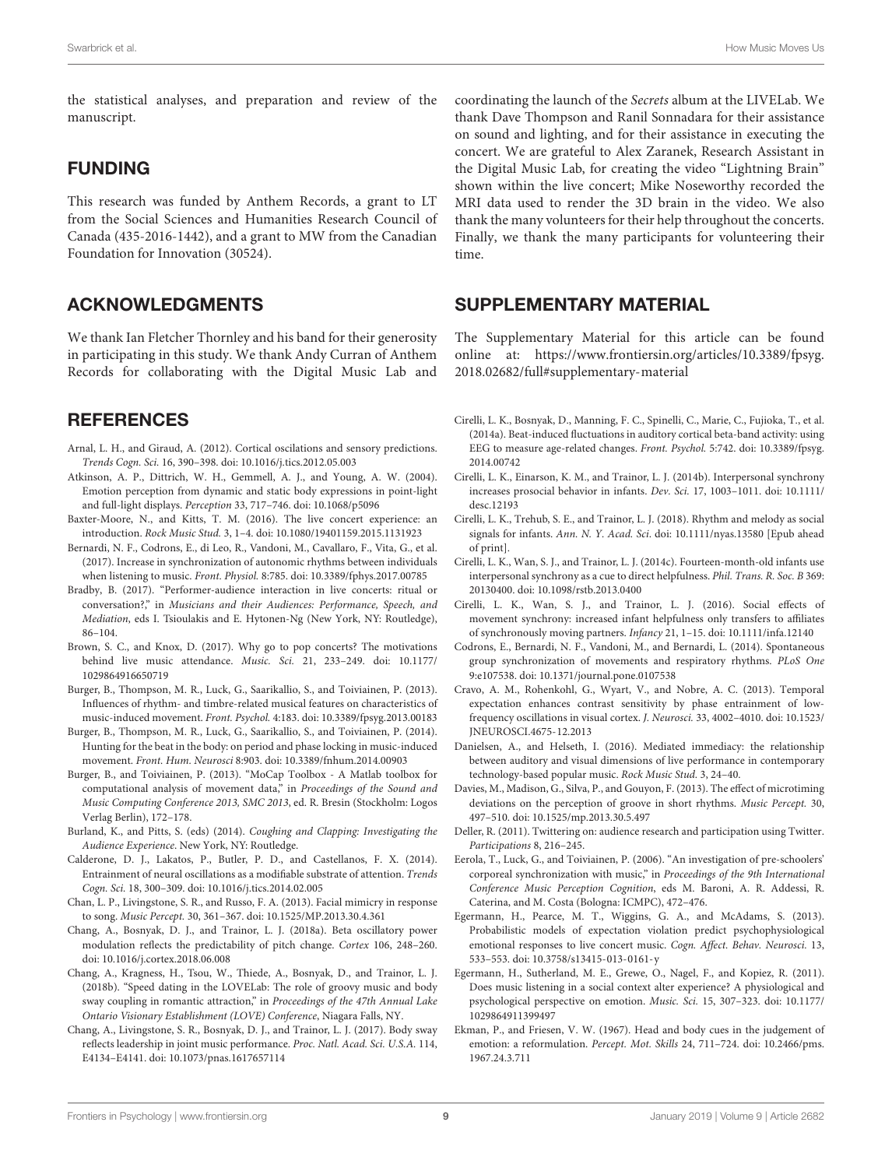the statistical analyses, and preparation and review of the manuscript.

# FUNDING

This research was funded by Anthem Records, a grant to LT from the Social Sciences and Humanities Research Council of Canada (435-2016-1442), and a grant to MW from the Canadian Foundation for Innovation (30524).

# ACKNOWLEDGMENTS

We thank Ian Fletcher Thornley and his band for their generosity in participating in this study. We thank Andy Curran of Anthem Records for collaborating with the Digital Music Lab and

# **REFERENCES**

- <span id="page-8-11"></span>Arnal, L. H., and Giraud, A. (2012). Cortical oscilations and sensory predictions. Trends Cogn. Sci. 16, 390–398. [doi: 10.1016/j.tics.2012.05.003](https://doi.org/10.1016/j.tics.2012.05.003)
- <span id="page-8-24"></span>Atkinson, A. P., Dittrich, W. H., Gemmell, A. J., and Young, A. W. (2004). Emotion perception from dynamic and static body expressions in point-light and full-light displays. Perception 33, 717–746. [doi: 10.1068/p5096](https://doi.org/10.1068/p5096)
- <span id="page-8-0"></span>Baxter-Moore, N., and Kitts, T. M. (2016). The live concert experience: an introduction. Rock Music Stud. 3, 1–4. [doi: 10.1080/19401159.2015.1131923](https://doi.org/10.1080/19401159.2015.1131923)
- <span id="page-8-9"></span>Bernardi, N. F., Codrons, E., di Leo, R., Vandoni, M., Cavallaro, F., Vita, G., et al. (2017). Increase in synchronization of autonomic rhythms between individuals when listening to music. Front. Physiol. 8:785. [doi: 10.3389/fphys.2017.00785](https://doi.org/10.3389/fphys.2017.00785)
- <span id="page-8-5"></span>Bradby, B. (2017). "Performer-audience interaction in live concerts: ritual or conversation?," in Musicians and their Audiences: Performance, Speech, and Mediation, eds I. Tsioulakis and E. Hytonen-Ng (New York, NY: Routledge), 86–104.
- <span id="page-8-1"></span>Brown, S. C., and Knox, D. (2017). Why go to pop concerts? The motivations behind live music attendance. Music. Sci. 21, 233–249. [doi: 10.1177/](https://doi.org/10.1177/1029864916650719) [1029864916650719](https://doi.org/10.1177/1029864916650719)
- <span id="page-8-20"></span>Burger, B., Thompson, M. R., Luck, G., Saarikallio, S., and Toiviainen, P. (2013). Influences of rhythm- and timbre-related musical features on characteristics of music-induced movement. Front. Psychol. 4:183. [doi: 10.3389/fpsyg.2013.00183](https://doi.org/10.3389/fpsyg.2013.00183)
- <span id="page-8-28"></span>Burger, B., Thompson, M. R., Luck, G., Saarikallio, S., and Toiviainen, P. (2014). Hunting for the beat in the body: on period and phase locking in music-induced movement. Front. Hum. Neurosci 8:903. [doi: 10.3389/fnhum.2014.00903](https://doi.org/10.3389/fnhum.2014.00903)
- <span id="page-8-26"></span>Burger, B., and Toiviainen, P. (2013). "MoCap Toolbox - A Matlab toolbox for computational analysis of movement data," in Proceedings of the Sound and Music Computing Conference 2013, SMC 2013, ed. R. Bresin (Stockholm: Logos Verlag Berlin), 172–178.
- <span id="page-8-2"></span>Burland, K., and Pitts, S. (eds) (2014). Coughing and Clapping: Investigating the Audience Experience. New York, NY: Routledge.
- <span id="page-8-13"></span>Calderone, D. J., Lakatos, P., Butler, P. D., and Castellanos, F. X. (2014). Entrainment of neural oscillations as a modifiable substrate of attention. Trends Cogn. Sci. 18, 300–309. [doi: 10.1016/j.tics.2014.02.005](https://doi.org/10.1016/j.tics.2014.02.005)
- <span id="page-8-8"></span>Chan, L. P., Livingstone, S. R., and Russo, F. A. (2013). Facial mimicry in response to song. Music Percept. 30, 361–367. [doi: 10.1525/MP.2013.30.4.361](https://doi.org/10.1525/MP.2013.30.4.361)
- <span id="page-8-15"></span>Chang, A., Bosnyak, D. J., and Trainor, L. J. (2018a). Beta oscillatory power modulation reflects the predictability of pitch change. Cortex 106, 248–260. [doi: 10.1016/j.cortex.2018.06.008](https://doi.org/10.1016/j.cortex.2018.06.008)
- <span id="page-8-22"></span>Chang, A., Kragness, H., Tsou, W., Thiede, A., Bosnyak, D., and Trainor, L. J. (2018b). "Speed dating in the LOVELab: The role of groovy music and body sway coupling in romantic attraction," in Proceedings of the 47th Annual Lake Ontario Visionary Establishment (LOVE) Conference, Niagara Falls, NY.
- <span id="page-8-21"></span>Chang, A., Livingstone, S. R., Bosnyak, D. J., and Trainor, L. J. (2017). Body sway reflects leadership in joint music performance. Proc. Natl. Acad. Sci. U.S.A. 114, E4134–E4141. [doi: 10.1073/pnas.1617657114](https://doi.org/10.1073/pnas.1617657114)

coordinating the launch of the Secrets album at the LIVELab. We thank Dave Thompson and Ranil Sonnadara for their assistance on sound and lighting, and for their assistance in executing the concert. We are grateful to Alex Zaranek, Research Assistant in the Digital Music Lab, for creating the video "Lightning Brain" shown within the live concert; Mike Noseworthy recorded the MRI data used to render the 3D brain in the video. We also thank the many volunteers for their help throughout the concerts. Finally, we thank the many participants for volunteering their time.

## <span id="page-8-25"></span>SUPPLEMENTARY MATERIAL

The Supplementary Material for this article can be found online at: [https://www.frontiersin.org/articles/10.3389/fpsyg.](https://www.frontiersin.org/articles/10.3389/fpsyg.2018.02682/full#supplementary-material) [2018.02682/full#supplementary-material](https://www.frontiersin.org/articles/10.3389/fpsyg.2018.02682/full#supplementary-material)

- <span id="page-8-14"></span>Cirelli, L. K., Bosnyak, D., Manning, F. C., Spinelli, C., Marie, C., Fujioka, T., et al. (2014a). Beat-induced fluctuations in auditory cortical beta-band activity: using EEG to measure age-related changes. Front. Psychol. 5:742. [doi: 10.3389/fpsyg.](https://doi.org/10.3389/fpsyg.2014.00742) [2014.00742](https://doi.org/10.3389/fpsyg.2014.00742)
- <span id="page-8-29"></span>Cirelli, L. K., Einarson, K. M., and Trainor, L. J. (2014b). Interpersonal synchrony increases prosocial behavior in infants. Dev. Sci. 17, 1003–1011. [doi: 10.1111/](https://doi.org/10.1111/desc.12193) [desc.12193](https://doi.org/10.1111/desc.12193)
- <span id="page-8-18"></span>Cirelli, L. K., Trehub, S. E., and Trainor, L. J. (2018). Rhythm and melody as social signals for infants. Ann. N. Y. Acad. Sci. [doi: 10.1111/nyas.13580](https://doi.org/10.1111/nyas.13580) [Epub ahead of print].
- <span id="page-8-16"></span>Cirelli, L. K., Wan, S. J., and Trainor, L. J. (2014c). Fourteen-month-old infants use interpersonal synchrony as a cue to direct helpfulness. Phil. Trans. R. Soc. B 369: 20130400. [doi: 10.1098/rstb.2013.0400](https://doi.org/10.1098/rstb.2013.0400)
- <span id="page-8-17"></span>Cirelli, L. K., Wan, S. J., and Trainor, L. J. (2016). Social effects of movement synchrony: increased infant helpfulness only transfers to affiliates of synchronously moving partners. Infancy 21, 1–15. [doi: 10.1111/infa.12140](https://doi.org/10.1111/infa.12140)
- <span id="page-8-10"></span>Codrons, E., Bernardi, N. F., Vandoni, M., and Bernardi, L. (2014). Spontaneous group synchronization of movements and respiratory rhythms. PLoS One 9:e107538. [doi: 10.1371/journal.pone.0107538](https://doi.org/10.1371/journal.pone.0107538)
- <span id="page-8-12"></span>Cravo, A. M., Rohenkohl, G., Wyart, V., and Nobre, A. C. (2013). Temporal expectation enhances contrast sensitivity by phase entrainment of lowfrequency oscillations in visual cortex. J. Neurosci. 33, 4002–4010. [doi: 10.1523/](https://doi.org/10.1523/JNEUROSCI.4675-12.2013) [JNEUROSCI.4675-12.2013](https://doi.org/10.1523/JNEUROSCI.4675-12.2013)
- <span id="page-8-4"></span>Danielsen, A., and Helseth, I. (2016). Mediated immediacy: the relationship between auditory and visual dimensions of live performance in contemporary technology-based popular music. Rock Music Stud. 3, 24–40.
- <span id="page-8-19"></span>Davies, M., Madison, G., Silva, P., and Gouyon, F. (2013). The effect of microtiming deviations on the perception of groove in short rhythms. Music Percept. 30, 497–510. [doi: 10.1525/mp.2013.30.5.497](https://doi.org/10.1525/mp.2013.30.5.497)
- <span id="page-8-7"></span>Deller, R. (2011). Twittering on: audience research and participation using Twitter. Participations 8, 216–245.
- <span id="page-8-27"></span>Eerola, T., Luck, G., and Toiviainen, P. (2006). "An investigation of pre-schoolers' corporeal synchronization with music," in Proceedings of the 9th International Conference Music Perception Cognition, eds M. Baroni, A. R. Addessi, R. Caterina, and M. Costa (Bologna: ICMPC), 472–476.
- <span id="page-8-6"></span>Egermann, H., Pearce, M. T., Wiggins, G. A., and McAdams, S. (2013). Probabilistic models of expectation violation predict psychophysiological emotional responses to live concert music. Cogn. Affect. Behav. Neurosci. 13, 533–553. [doi: 10.3758/s13415-013-0161-y](https://doi.org/10.3758/s13415-013-0161-y)
- <span id="page-8-3"></span>Egermann, H., Sutherland, M. E., Grewe, O., Nagel, F., and Kopiez, R. (2011). Does music listening in a social context alter experience? A physiological and psychological perspective on emotion. Music. Sci. 15, 307–323. [doi: 10.1177/](https://doi.org/10.1177/1029864911399497) [1029864911399497](https://doi.org/10.1177/1029864911399497)
- <span id="page-8-23"></span>Ekman, P., and Friesen, V. W. (1967). Head and body cues in the judgement of emotion: a reformulation. Percept. Mot. Skills 24, 711–724. [doi: 10.2466/pms.](https://doi.org/10.2466/pms.1967.24.3.711) [1967.24.3.711](https://doi.org/10.2466/pms.1967.24.3.711)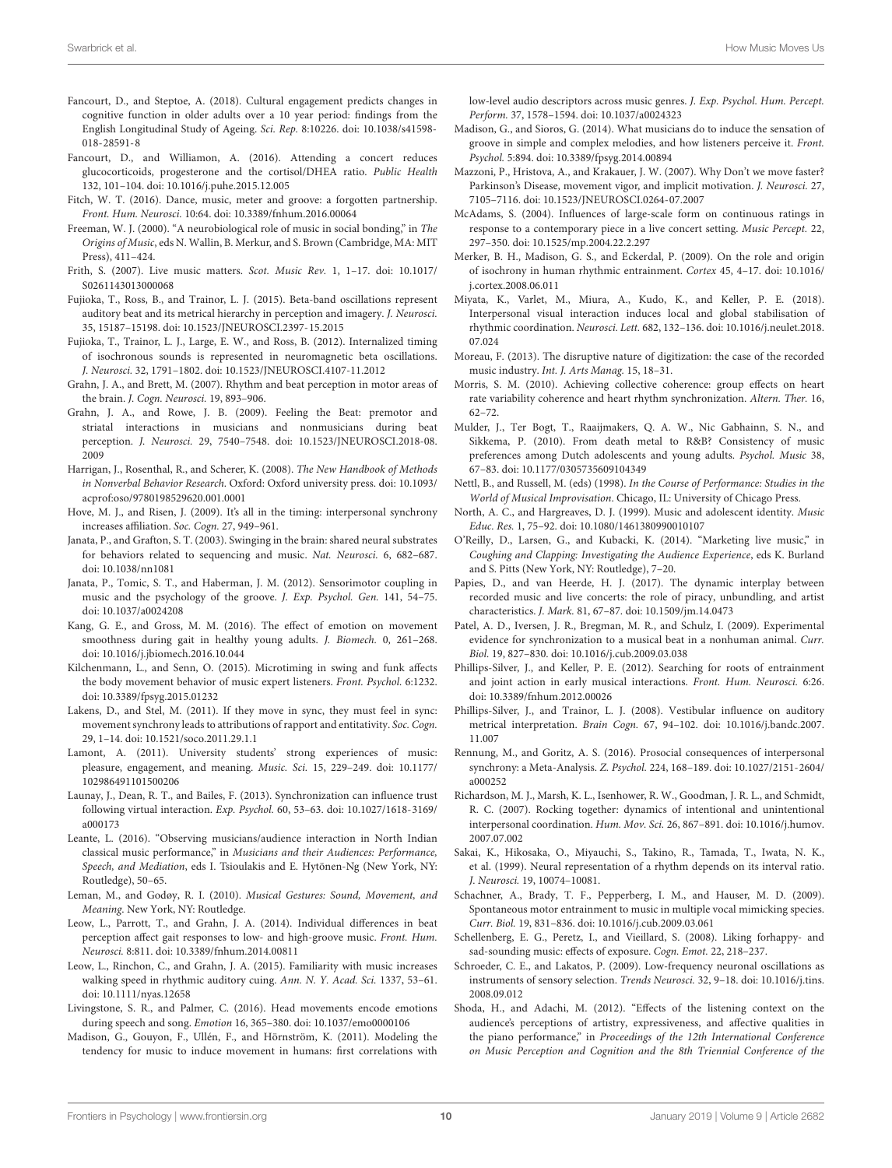- <span id="page-9-8"></span>Fancourt, D., and Steptoe, A. (2018). Cultural engagement predicts changes in cognitive function in older adults over a 10 year period: findings from the English Longitudinal Study of Ageing. Sci. Rep. 8:10226. [doi: 10.1038/s41598-](https://doi.org/10.1038/s41598-018-28591-8) [018-28591-8](https://doi.org/10.1038/s41598-018-28591-8)
- <span id="page-9-7"></span>Fancourt, D., and Williamon, A. (2016). Attending a concert reduces glucocorticoids, progesterone and the cortisol/DHEA ratio. Public Health 132, 101–104. [doi: 10.1016/j.puhe.2015.12.005](https://doi.org/10.1016/j.puhe.2015.12.005)
- <span id="page-9-43"></span>Fitch, W. T. (2016). Dance, music, meter and groove: a forgotten partnership. Front. Hum. Neurosci. 10:64. [doi: 10.3389/fnhum.2016.00064](https://doi.org/10.3389/fnhum.2016.00064)
- <span id="page-9-1"></span>Freeman, W. J. (2000). "A neurobiological role of music in social bonding," in The Origins of Music, eds N. Wallin, B. Merkur, and S. Brown (Cambridge, MA: MIT Press), 411–424.
- <span id="page-9-39"></span>Frith, S. (2007). Live music matters. Scot. Music Rev. 1, 1–17. [doi: 10.1017/](https://doi.org/10.1017/S0261143013000068) [S0261143013000068](https://doi.org/10.1017/S0261143013000068)
- <span id="page-9-21"></span>Fujioka, T., Ross, B., and Trainor, L. J. (2015). Beta-band oscillations represent auditory beat and its metrical hierarchy in perception and imagery. J. Neurosci. 35, 15187–15198. [doi: 10.1523/JNEUROSCI.2397-15.2015](https://doi.org/10.1523/JNEUROSCI.2397-15.2015)
- <span id="page-9-19"></span>Fujioka, T., Trainor, L. J., Large, E. W., and Ross, B. (2012). Internalized timing of isochronous sounds is represented in neuromagnetic beta oscillations. J. Neurosci. 32, 1791–1802. [doi: 10.1523/JNEUROSCI.4107-11.2012](https://doi.org/10.1523/JNEUROSCI.4107-11.2012)
- <span id="page-9-18"></span>Grahn, J. A., and Brett, M. (2007). Rhythm and beat perception in motor areas of the brain. J. Cogn. Neurosci. 19, 893–906.
- <span id="page-9-42"></span>Grahn, J. A., and Rowe, J. B. (2009). Feeling the Beat: premotor and striatal interactions in musicians and nonmusicians during beat perception. J. Neurosci. 29, 7540–7548. [doi: 10.1523/JNEUROSCI.2018-08.](https://doi.org/10.1523/JNEUROSCI.2018-08.2009) [2009](https://doi.org/10.1523/JNEUROSCI.2018-08.2009)
- <span id="page-9-31"></span>Harrigan, J., Rosenthal, R., and Scherer, K. (2008). The New Handbook of Methods in Nonverbal Behavior Research. Oxford: Oxford university press. [doi: 10.1093/](https://doi.org/10.1093/acprof:oso/9780198529620.001.0001) [acprof:oso/9780198529620.001.0001](https://doi.org/10.1093/acprof:oso/9780198529620.001.0001)
- <span id="page-9-10"></span>Hove, M. J., and Risen, J. (2009). It's all in the timing: interpersonal synchrony increases affiliation. Soc. Cogn. 27, 949–961.
- <span id="page-9-17"></span>Janata, P., and Grafton, S. T. (2003). Swinging in the brain: shared neural substrates for behaviors related to sequencing and music. Nat. Neurosci. 6, 682–687. [doi: 10.1038/nn1081](https://doi.org/10.1038/nn1081)
- <span id="page-9-26"></span>Janata, P., Tomic, S. T., and Haberman, J. M. (2012). Sensorimotor coupling in music and the psychology of the groove. J. Exp. Psychol. Gen. 141, 54–75. [doi: 10.1037/a0024208](https://doi.org/10.1037/a0024208)
- <span id="page-9-32"></span>Kang, G. E., and Gross, M. M. (2016). The effect of emotion on movement smoothness during gait in healthy young adults. J. Biomech. 0, 261–268. [doi: 10.1016/j.jbiomech.2016.10.044](https://doi.org/10.1016/j.jbiomech.2016.10.044)
- <span id="page-9-44"></span>Kilchenmann, L., and Senn, O. (2015). Microtiming in swing and funk affects the body movement behavior of music expert listeners. Front. Psychol. 6:1232. [doi: 10.3389/fpsyg.2015.01232](https://doi.org/10.3389/fpsyg.2015.01232)
- <span id="page-9-9"></span>Lakens, D., and Stel, M. (2011). If they move in sync, they must feel in sync: movement synchrony leads to attributions of rapport and entitativity. Soc. Cogn. 29, 1–14. [doi: 10.1521/soco.2011.29.1.1](https://doi.org/10.1521/soco.2011.29.1.1)
- <span id="page-9-3"></span>Lamont, A. (2011). University students' strong experiences of music: pleasure, engagement, and meaning. Music. Sci. 15, 229–249. [doi: 10.1177/](https://doi.org/10.1177/102986491101500206) [102986491101500206](https://doi.org/10.1177/102986491101500206)
- <span id="page-9-11"></span>Launay, J., Dean, R. T., and Bailes, F. (2013). Synchronization can influence trust following virtual interaction. Exp. Psychol. 60, 53–63. [doi: 10.1027/1618-3169/](https://doi.org/10.1027/1618-3169/a000173) [a000173](https://doi.org/10.1027/1618-3169/a000173)
- <span id="page-9-4"></span>Leante, L. (2016). "Observing musicians/audience interaction in North Indian classical music performance," in Musicians and their Audiences: Performance, Speech, and Mediation, eds I. Tsioulakis and E. Hytönen-Ng (New York, NY: Routledge), 50–65.
- <span id="page-9-28"></span>Leman, M., and Godøy, R. I. (2010). Musical Gestures: Sound, Movement, and Meaning. New York, NY: Routledge.
- <span id="page-9-38"></span>Leow, L., Parrott, T., and Grahn, J. A. (2014). Individual differences in beat perception affect gait responses to low- and high-groove music. Front. Hum. Neurosci. 8:811. [doi: 10.3389/fnhum.2014.00811](https://doi.org/10.3389/fnhum.2014.00811)
- <span id="page-9-33"></span>Leow, L., Rinchon, C., and Grahn, J. A. (2015). Familiarity with music increases walking speed in rhythmic auditory cuing. Ann. N. Y. Acad. Sci. 1337, 53–61. [doi: 10.1111/nyas.12658](https://doi.org/10.1111/nyas.12658)
- <span id="page-9-30"></span>Livingstone, S. R., and Palmer, C. (2016). Head movements encode emotions during speech and song. Emotion 16, 365–380. [doi: 10.1037/emo0000106](https://doi.org/10.1037/emo0000106)
- <span id="page-9-25"></span>Madison, G., Gouyon, F., Ullén, F., and Hörnström, K. (2011). Modeling the tendency for music to induce movement in humans: first correlations with

low-level audio descriptors across music genres. J. Exp. Psychol. Hum. Percept. Perform. 37, 1578–1594. [doi: 10.1037/a0024323](https://doi.org/10.1037/a0024323)

- <span id="page-9-27"></span>Madison, G., and Sioros, G. (2014). What musicians do to induce the sensation of groove in simple and complex melodies, and how listeners perceive it. Front. Psychol. 5:894. [doi: 10.3389/fpsyg.2014.00894](https://doi.org/10.3389/fpsyg.2014.00894)
- <span id="page-9-34"></span>Mazzoni, P., Hristova, A., and Krakauer, J. W. (2007). Why Don't we move faster? Parkinson's Disease, movement vigor, and implicit motivation. J. Neurosci. 27, 7105–7116. [doi: 10.1523/JNEUROSCI.0264-07.2007](https://doi.org/10.1523/JNEUROSCI.0264-07.2007)
- <span id="page-9-6"></span>McAdams, S. (2004). Influences of large-scale form on continuous ratings in response to a contemporary piece in a live concert setting. Music Percept. 22, 297–350. [doi: 10.1525/mp.2004.22.2.297](https://doi.org/10.1525/mp.2004.22.2.297)
- <span id="page-9-22"></span>Merker, B. H., Madison, G. S., and Eckerdal, P. (2009). On the role and origin of isochrony in human rhythmic entrainment. Cortex 45, 4–17. [doi: 10.1016/](https://doi.org/10.1016/j.cortex.2008.06.011) [j.cortex.2008.06.011](https://doi.org/10.1016/j.cortex.2008.06.011)
- <span id="page-9-14"></span>Miyata, K., Varlet, M., Miura, A., Kudo, K., and Keller, P. E. (2018). Interpersonal visual interaction induces local and global stabilisation of rhythmic coordination. Neurosci. Lett. 682, 132–136. [doi: 10.1016/j.neulet.2018.](https://doi.org/10.1016/j.neulet.2018.07.024) [07.024](https://doi.org/10.1016/j.neulet.2018.07.024)
- <span id="page-9-2"></span>Moreau, F. (2013). The disruptive nature of digitization: the case of the recorded music industry. Int. J. Arts Manag. 15, 18–31.
- <span id="page-9-13"></span>Morris, S. M. (2010). Achieving collective coherence: group effects on heart rate variability coherence and heart rhythm synchronization. Altern. Ther. 16, 62–72.
- <span id="page-9-36"></span>Mulder, J., Ter Bogt, T., Raaijmakers, Q. A. W., Nic Gabhainn, S. N., and Sikkema, P. (2010). From death metal to R&B? Consistency of music preferences among Dutch adolescents and young adults. Psychol. Music 38, 67–83. [doi: 10.1177/0305735609104349](https://doi.org/10.1177/0305735609104349)
- <span id="page-9-0"></span>Nettl, B., and Russell, M. (eds) (1998). In the Course of Performance: Studies in the World of Musical Improvisation. Chicago, IL: University of Chicago Press.
- <span id="page-9-35"></span>North, A. C., and Hargreaves, D. J. (1999). Music and adolescent identity. Music Educ. Res. 1, 75–92. [doi: 10.1080/1461380990010107](https://doi.org/10.1080/1461380990010107)
- <span id="page-9-41"></span>O'Reilly, D., Larsen, G., and Kubacki, K. (2014). "Marketing live music," in Coughing and Clapping: Investigating the Audience Experience, eds K. Burland and S. Pitts (New York, NY: Routledge), 7–20.
- <span id="page-9-40"></span>Papies, D., and van Heerde, H. J. (2017). The dynamic interplay between recorded music and live concerts: the role of piracy, unbundling, and artist characteristics. J. Mark. 81, 67–87. [doi: 10.1509/jm.14.0473](https://doi.org/10.1509/jm.14.0473)
- <span id="page-9-23"></span>Patel, A. D., Iversen, J. R., Bregman, M. R., and Schulz, I. (2009). Experimental evidence for synchronization to a musical beat in a nonhuman animal. Curr. Biol. 19, 827–830. [doi: 10.1016/j.cub.2009.03.038](https://doi.org/10.1016/j.cub.2009.03.038)
- <span id="page-9-15"></span>Phillips-Silver, J., and Keller, P. E. (2012). Searching for roots of entrainment and joint action in early musical interactions. Front. Hum. Neurosci. 6:26. [doi: 10.3389/fnhum.2012.00026](https://doi.org/10.3389/fnhum.2012.00026)
- <span id="page-9-29"></span>Phillips-Silver, J., and Trainor, L. J. (2008). Vestibular influence on auditory metrical interpretation. Brain Cogn. 67, 94–102. [doi: 10.1016/j.bandc.2007.](https://doi.org/10.1016/j.bandc.2007.11.007) [11.007](https://doi.org/10.1016/j.bandc.2007.11.007)
- <span id="page-9-5"></span>Rennung, M., and Goritz, A. S. (2016). Prosocial consequences of interpersonal synchrony: a Meta-Analysis. Z. Psychol. 224, 168–189. [doi: 10.1027/2151-2604/](https://doi.org/10.1027/2151-2604/a000252) [a000252](https://doi.org/10.1027/2151-2604/a000252)
- <span id="page-9-12"></span>Richardson, M. J., Marsh, K. L., Isenhower, R. W., Goodman, J. R. L., and Schmidt, R. C. (2007). Rocking together: dynamics of intentional and unintentional interpersonal coordination. Hum. Mov. Sci. 26, 867–891. [doi: 10.1016/j.humov.](https://doi.org/10.1016/j.humov.2007.07.002) [2007.07.002](https://doi.org/10.1016/j.humov.2007.07.002)
- <span id="page-9-16"></span>Sakai, K., Hikosaka, O., Miyauchi, S., Takino, R., Tamada, T., Iwata, N. K., et al. (1999). Neural representation of a rhythm depends on its interval ratio. J. Neurosci. 19, 10074–10081.
- <span id="page-9-24"></span>Schachner, A., Brady, T. F., Pepperberg, I. M., and Hauser, M. D. (2009). Spontaneous motor entrainment to music in multiple vocal mimicking species. Curr. Biol. 19, 831–836. [doi: 10.1016/j.cub.2009.03.061](https://doi.org/10.1016/j.cub.2009.03.061)
- <span id="page-9-37"></span>Schellenberg, E. G., Peretz, I., and Vieillard, S. (2008). Liking forhappy- and sad-sounding music: effects of exposure. Cogn. Emot. 22, 218–237.
- <span id="page-9-20"></span>Schroeder, C. E., and Lakatos, P. (2009). Low-frequency neuronal oscillations as instruments of sensory selection. Trends Neurosci. 32, 9–18. [doi: 10.1016/j.tins.](https://doi.org/10.1016/j.tins.2008.09.012) [2008.09.012](https://doi.org/10.1016/j.tins.2008.09.012)
- <span id="page-9-45"></span>Shoda, H., and Adachi, M. (2012). "Effects of the listening context on the audience's perceptions of artistry, expressiveness, and affective qualities in the piano performance," in Proceedings of the 12th International Conference on Music Perception and Cognition and the 8th Triennial Conference of the